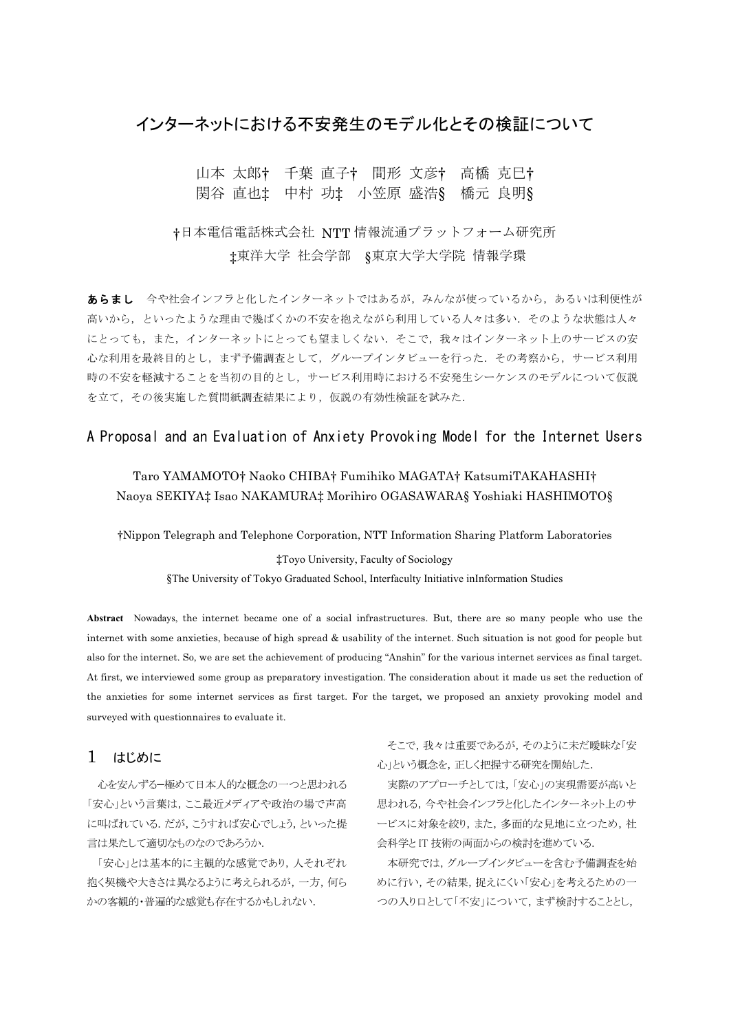# インターネットにおける不安発生のモデル化とその検証について

# 山本 太郎† 千葉 直子† 間形 文彦† 高橋 克巳† 関谷 直也‡ 中村 功‡ 小笠原 盛浩§ 橋元 良明§

# †日本電信電話株式会社 NTT 情報流通プラットフォーム研究所 ‡東洋大学 社会学部 §東京大学大学院 情報学環

あらまし 今や社会インフラと化したインターネットではあるが、みんなが使っているから、あるいは利便性が 高いから、といったような理由で幾ばくかの不安を抱えながら利用している人々は多い、そのような状態は人々 にとっても、また、インターネットにとっても望ましくない。そこで、我々はインターネット上のサービスの安 心な利用を最終目的とし、まず予備調査として、グループインタビューを行った、その考察から、サービス利用 時の不安を軽減することを当初の目的とし、サービス利用時における不安発生シーケンスのモデルについて仮説 を立て、その後実施した質問紙調査結果により、仮説の有効性検証を試みた.

# A Proposal and an Evaluation of Anxiety Provoking Model for the Internet Users

# Taro YAMAMOTO† Naoko CHIBA† Fumihiko MAGATA† KatsumiTAKAHASHI† Naoya SEKIYA‡ Isao NAKAMURA‡ Morihiro OGASAWARA§ Yoshiaki HASHIMOTO§

†Nippon Telegraph and Telephone Corporation, NTT Information Sharing Platform Laboratories

‡Toyo University, Faculty of Sociology §The University of Tokyo Graduated School, Interfaculty Initiative inInformation Studies

Abstract Nowadays, the internet became one of a social infrastructures. But, there are so many people who use the internet with some anxieties, because of high spread & usability of the internet. Such situation is not good for people but also for the internet. So, we are set the achievement of producing "Anshin" for the various internet services as final target. At first, we interviewed some group as preparatory investigation. The consideration about it made us set the reduction of the anxieties for some internet services as first target. For the target, we proposed an anxiety provoking model and surveyed with questionnaires to evaluate it.

#### はじめに  $\mathbf{1}$

心を安んずる一極めて日本人的な概念の一つと思われる 「安心」という言葉は、ここ最近メディアや政治の場で声高 に叫ばれている。だが、こうすれば安心でしょう、といった提 言は果たして適切なものなのであろうか.

「安心」とは基本的に主観的な感覚であり、人それぞれ 抱く契機や大きさは異なるように考えられるが、一方、何ら かの客観的・普遍的な感覚も存在するかもしれない.

そこで、我々は重要であるが、そのように未だ曖昧な「安 心」という概念を、正しく把握する研究を開始した.

実際のアプローチとしては、「安心」の実現需要が高いと 思われる、今や社会インフラと化したインターネット上のサ ービスに対象を絞り,また,多面的な見地に立つため,社 会科学とIT技術の両面からの検討を進めている.

本研究では、グループインタビューを含む予備調査を始 めに行い、その結果、捉えにくい「安心」を考えるための一 つの入り口として「不安」について、まず検討することとし、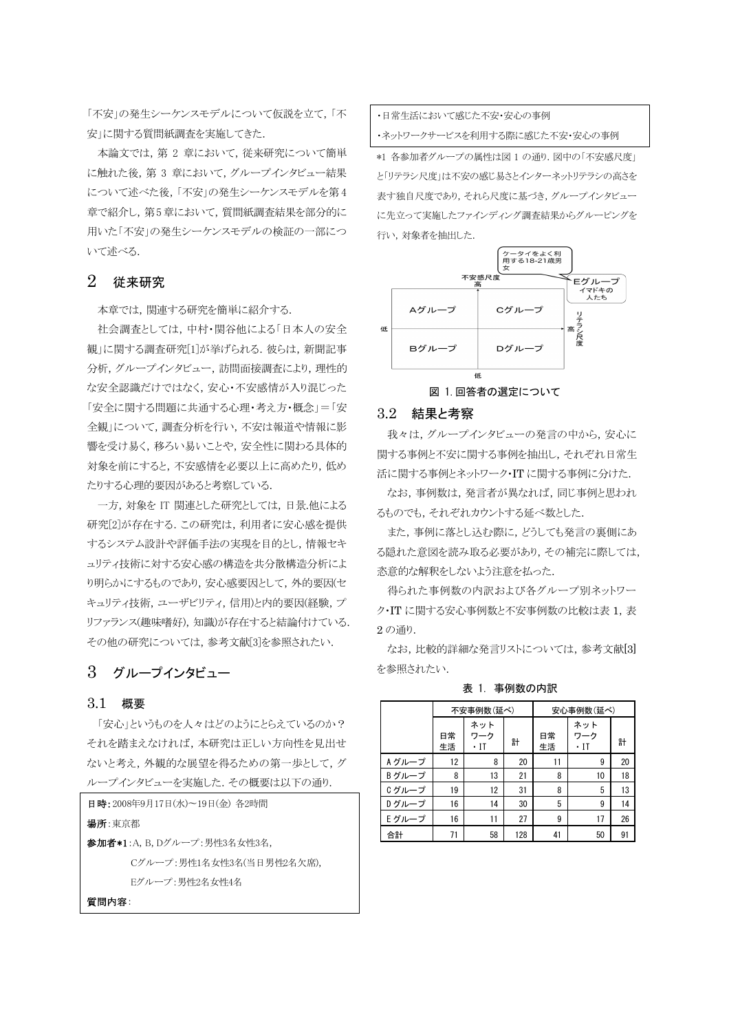「不安」の発生シーケンスモデルについて仮説を立て、「不 安」に関する質問紙調査を実施してきた.

本論文では、第2章において、従来研究について簡単 に触れた後,第3章において、グループインタビュー結果 について述べた後、「不安」の発生シーケンスモデルを第4 章で紹介し、第5章において、質問紙調査結果を部分的に 用いた「不安」の発生シーケンスモデルの検証の一部につ いて述べる.

#### $\overline{2}$ 従来研究

本章では、関連する研究を簡単に紹介する.

社会調査としては、中村・関谷他による「日本人の安全 観」に関する調査研究[1]が挙げられる。彼らは、新聞記事 分析,グループインタビュー,訪問面接調査により、理性的 な安全認識だけではなく、安心・不安感情が入り混じった 「安全に関する問題に共通する心理・考え方・概念」=「安 全観」について、調査分析を行い、不安は報道や情報に影 響を受け易く、移ろい易いことや、安全性に関わる具体的 対象を前にすると、不安感情を必要以上に高めたり、低め たりする心理的要因があると考察している。

一方, 対象を IT 関連とした研究としては, 日景.他による 研究[2]が存在する。この研究は、利用者に安心感を提供 するシステム設計や評価手法の実現を目的とし、情報セキ ュリティ技術に対する安心感の構造を共分散構造分析によ り明らかにするものであり、安心感要因として、外的要因(セ キュリティ技術, ユーザビリティ, 信用)と内的要因(経験, プ リファランス(趣味嗜好), 知識)が存在すると結論付けている. その他の研究については、参考文献[3]を参照されたい.

# 3 グループインタビュー

## 3.1 概要

「安心」というものを人々はどのようにとらえているのか? それを踏まえなければ、本研究は正しい方向性を見出せ ないと考え、外観的な展望を得るための第一歩として、グ ループインタビューを実施した. その概要は以下の通り.

| 日時:2008年9月17日(水)~19日(金) 各2時間        |  |  |  |  |  |  |
|-------------------------------------|--|--|--|--|--|--|
| 場所:東京都                              |  |  |  |  |  |  |
| <b>参加者*1</b> :A, B, Dグループ:男性3名女性3名, |  |  |  |  |  |  |
| Cグループ:男性1名女性3名(当日男性2名欠席).           |  |  |  |  |  |  |
| Eグループ:男性2名女性4名                      |  |  |  |  |  |  |
| FF FR  25                           |  |  |  |  |  |  |

・日常生活において感じた不安・安心の事例 ・ネットワークサービスを利用する際に感じた不安・安心の事例

\*1 各参加者グループの属性は図 1 の通り. 図中の「不安感尺度」 と「リテラシ尺度」は不安の感じ易さとインターネットリテラシの高さを 表す独自尺度であり、それら尺度に基づき、グループインタビュー に先立って実施したファインディング調査結果からグルーピングを 行い,対象者を抽出した.



#### $32<sub>2</sub>$ 結果と考察

我々は、グループインタビューの発言の中から、安心に 関する事例と不安に関する事例を抽出し、それぞれ日常生 活に関する事例とネットワーク·ITに関する事例に分けた.

なお、事例数は、発言者が異なれば、同じ事例と思われ るものでも、それぞれカウントする延べ数とした。

また、事例に落とし込む際に、どうしても発言の裏側にあ る隠れた意図を読み取る必要があり、その補完に際しては、 恣意的な解釈をしないよう注意を払った.

得られた事例数の内訳および各グループ別ネットワー ク·IT に関する安心事例数と不安事例数の比較は表 1,表 2の通り.

なお,比較的詳細な発言リストについては、参考文献[3] を参照されたい.

|        |          | 不安事例数 (延べ)        |     | 安心事例数(延べ) |                   |    |  |
|--------|----------|-------------------|-----|-----------|-------------------|----|--|
|        |          | ネット               |     |           | ネット               |    |  |
|        | 日常<br>生活 | ワーク<br>$\cdot$ IT | 計   | 日常<br>生活  | ワーク<br>$\cdot$ IT | 計  |  |
| A グループ | 12       | 8                 | 20  | 11        | 9                 | 20 |  |
| Bグループ  | 8        | 13                | 21  | 8         | 10                | 18 |  |
| Cグループ  | 19       | 12                | 31  | 8         | 5                 | 13 |  |
| Dグループ  | 16       | 14                | 30  | 5         | 9                 | 14 |  |
| Eグループ  | 16       | 11                | 27  | 9         | 17                | 26 |  |
| 合計     | 71       | 58                | 128 | 41        | 50                | 91 |  |

表 1. 事例数の内訳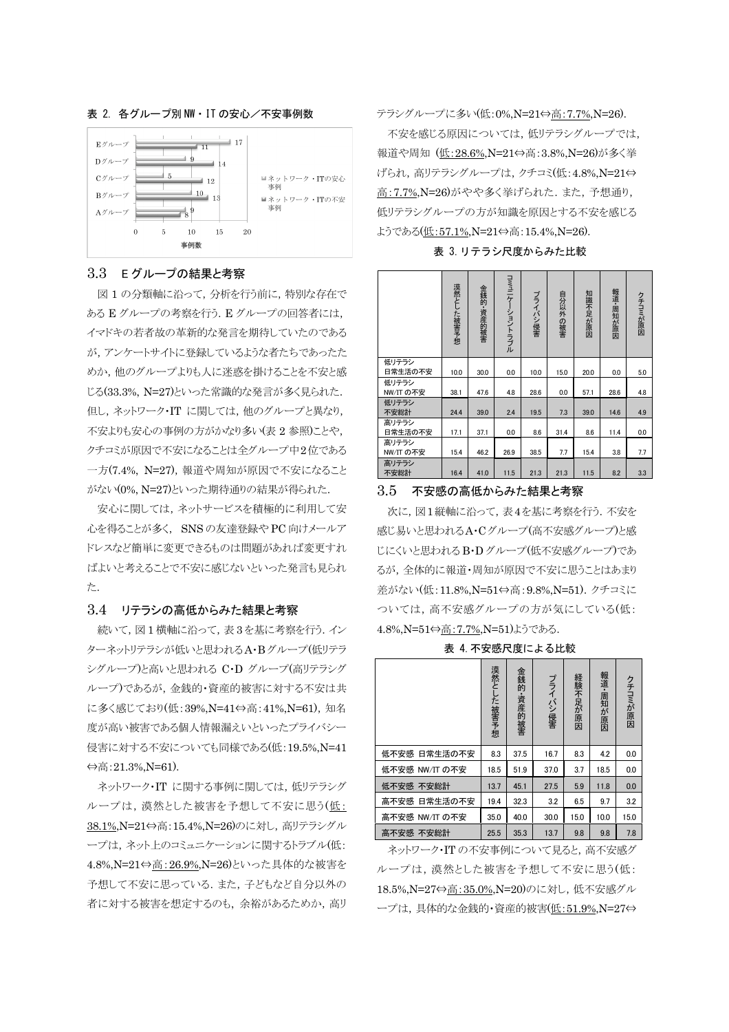

# 表 2. 各グループ別 NW · IT の安心/不安事例数

## 3.3 Eグループの結果と考察

図1の分類軸に沿って、分析を行う前に、特別な存在で ある E グループの考察を行う. E グループの回答者には, イマドキの若者故の革新的な発言を期待していたのである が、アンケートサイトに登録しているような者たちであったた めか、他のグループよりも人に米惑を掛けることを不安と感 じる(33.3%, N=27)といった常識的な発言が多く見られた. 但し、ネットワーク·IT に関しては、他のグループと異なり、 不安よりも安心の事例の方がかなり多い(表2参照)ことや、 クチコミが原因で不安になることは全グループ中2位である 一方(7.4%, N=27), 報道や周知が原因で不安になること がない(0%, N=27)といった期待通りの結果が得られた.

安心に関しては、ネットサービスを積極的に利用して安 心を得ることが多く、SNSの友達登録やPC向けメールア ドレスなど簡単に変更できるものは問題があれば変更すれ ばよいと考えることで不安に感じないといった発言も見られ た.

# 3.4 リテラシの高低からみた結果と考察

続いて、図1横軸に沿って、表3を基に考察を行う.イン ターネットリテラシが低いと思われるA·Bグループ(低リテラ シグループ)と高いと思われる C・D グループ(高リテラシグ ループ)であるが、金銭的·資産的被害に対する不安は共 に多く感じており(低:39%,N=41⇔高:41%,N=61), 知名 度が高い被害である個人情報漏えいといったプライバシー 侵害に対する不安についても同様である(低:19.5%.N=41  $\Leftrightarrow$  高: 21.3%, N=61).

ネットワーク·IT に関する事例に関しては、低リテラシグ ループは、漠然とした被害を予想して不安に思う(低: 38.1%,N=21⇔高:15.4%,N=26)のに対し、高リテラシグル ープは、ネット上のコミュニケーションに関するトラブル(低: 4.8%,N=21⇔高:26.9%,N=26)といった具体的な被害を 予想して不安に思っている. また、子どもなど自分以外の 者に対する被害を想定するのも、余裕があるためか、高リ テラシグループに多い(低:0%,N=21⇔高:7.7%,N=26).

不安を感じる原因については、低リテラシグループでは, 報道や周知 (低: 28.6%, N=21⇔高: 3.8%, N=26)が多く挙 げられ, 高リテラシグループは, クチコミ(低:4.8%,N=21⇔ 高: 7.7%, N=26)がやや多く挙げられた. また, 予想通り, 低リテラシグループの方が知識を原因とする不安を感じる ようである(低:57.1%.N=21⇔高:15.4%.N=26).

表 3. リテラシ尺度からみた比較

|                    | 漠然とした被害予想 | 金銭的·資産的被害 | コミュニケーショントラブル | プライバシ侵害 | 自分以外の被害 | 知識不足が原因 | 報道・周知が原因 | クチコミが原因 |
|--------------------|-----------|-----------|---------------|---------|---------|---------|----------|---------|
| 低リテラシ<br>日常生活の不安   | 10.0      | 30.0      | 0.0           | 10.0    | 15.0    | 20.0    | 0.0      | 5.0     |
| 低リテラシ<br>NW/IT の不安 | 38.1      | 47.6      | 4.8           | 28.6    | 0.0     | 57.1    | 28.6     | 4.8     |
| 低リテラシ<br>不安総計      | 24.4      | 39.0      | 2.4           | 19.5    | 7.3     | 39.0    | 14.6     | 4.9     |
| 高リテラシ<br>日常生活の不安   | 17.1      | 37.1      | 0.0           | 8.6     | 31.4    | 8.6     | 11.4     | 0.0     |
| 高リテラシ<br>NW/IT の不安 | 15.4      | 46.2      | 26.9          | 38.5    | 7.7     | 15.4    | 3.8      | 7.7     |
| 高リテラシ<br>不安総計      | 16.4      | 41.0      | 11.5          | 21.3    | 21.3    | 11.5    | 8.2      | 3.3     |

### 3.5 不安感の高低からみた結果と考察

次に、図1縦軸に沿って、表4を基に考察を行う. 不安を 感じ易いと思われるA·Cグループ(高不安感グループ)と感 じにくいと思われるB·Dグループ(低不安感グループ)であ るが、全体的に報道・周知が原因で不安に思うことはあまり 差がない(低:11.8%,N=51⇔高:9.8%,N=51). クチコミに ついては、高不安感グループの方が気にしている(低: 4.8%, N=51⇔高: 7.7%, N=51)ようである.

表 4. 不安感尺度による比較

|                 | 漠然と-<br>した 被害予想 | 金銭的 資産的被害 | プライバシ侵害 | 経験不足が原因 | 報道・周知が原因 | クチコミが原因 |
|-----------------|-----------------|-----------|---------|---------|----------|---------|
| 日常生活の不安<br>低不安感 | 8.3             | 37.5      | 16.7    | 8.3     | 4.2      | 0.0     |
| 低不安感 NW/IT の不安  | 18.5            | 51.9      | 37.0    | 3.7     | 18.5     | 0.0     |
| 低不安感<br>不安総計    | 13.7            | 45.1      | 27.5    | 5.9     | 11.8     | 0.0     |
| 日常生活の不安<br>高不安感 | 19.4            | 32.3      | 3.2     | 6.5     | 9.7      | 3.2     |
| 高不安感 NW/IT の不安  | 35.0            | 40.0      | 30.0    | 15.0    | 10.0     | 15.0    |
| 高不安感<br>不安総計    | 25.5            | 35.3      | 13.7    | 9.8     | 9.8      | 7.8     |

ネットワーク·ITの不安事例について見ると、高不安感グ ループは、漠然とした被害を予想して不安に思う(低: 18.5%, N=27⇔高: 35.0%, N=20)のに対し、低不安感グル ープは、具体的な金銭的·資産的被害(低:51.9%.N=27⇔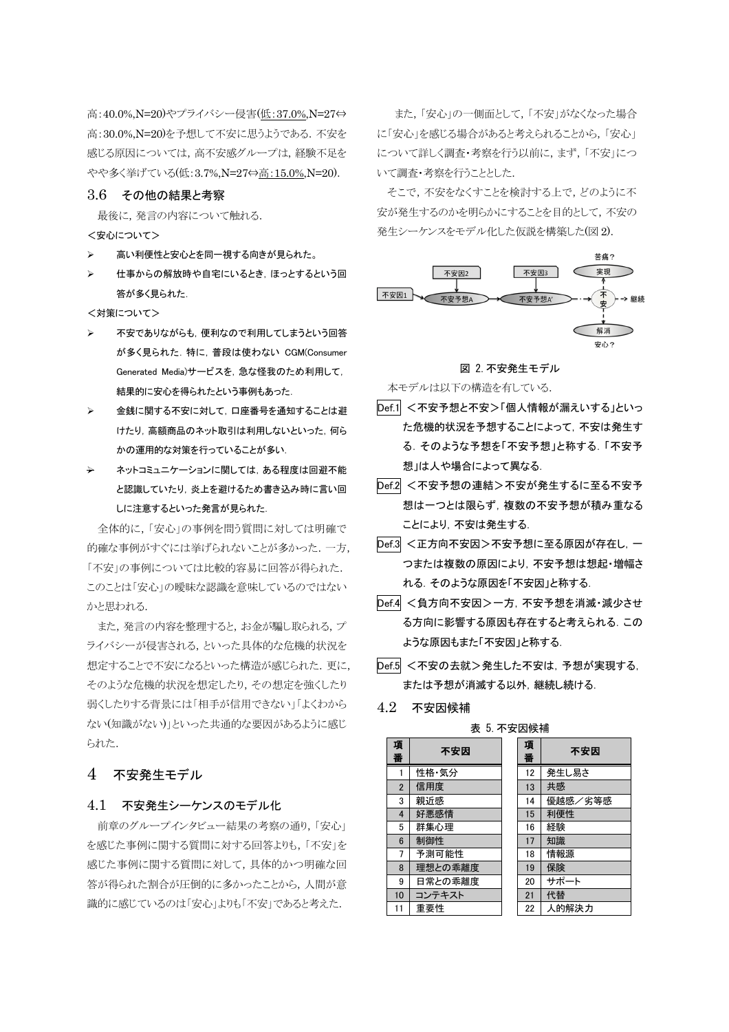高: 40.0%,N=20)やプライバシー侵害(低: 37.0%,N=27⇔ 高: 30.0%, N=20)を予想して不安に思うようである. 不安を 感じる原因については、高不安感グループは、経験不足を やや多く挙げている(低:3.7%,N=27⇔高:15.0%,N=20).

# 3.6 その他の結果と考察

最後に、発言の内容について触れる.

- <安心について>
- 高い利便性と安心とを同一視する向きが見られた。
- 仕事からの解放時や自宅にいるとき、ほっとするという回 答が多く見られた

<対策について>

- 不安でありながらも、便利なので利用してしまうという回答 が多く見られた. 特に、普段は使わない CGM(Consumer Generated Media)サービスを、急な怪我のため利用して、 結果的に安心を得られたという事例もあった.
- 金銭に関する不安に対して、口座番号を通知することは避  $\mathbf{z}$ けたり、高額商品のネット取引は利用しないといった、何ら かの運用的な対策を行っていることが多い.
- ネットコミュニケーションに関しては、ある程度は回避不能 と認識していたり、炎上を避けるため書き込み時に言い回 しに注意するといった発言が見られた.

全体的に、「安心」の事例を問う質問に対しては明確で 的確な事例がすぐには挙げられないことが多かった。一方、 「不安」の事例については比較的容易に回答が得られた. このことは「安心」の曖昧な認識を意味しているのではない かと思われる.

また、発言の内容を整理すると、お金が騙し取られる、プ ライバシーが侵害される、といった具体的な危機的状況を 想定することで不安になるといった構造が感じられた. 更に, そのような危機的状況を想定したり、その想定を強くしたり 弱くしたりする背景には「相手が信用できない」「よくわから ない(知識がない)」といった共通的な要因があるように感じ られた.

#### 不安発生モデル  $\overline{4}$

# 4.1 不安発生シーケンスのモデル化

前章のグループインタビュー結果の考察の通り、「安心」 を感じた事例に関する質問に対する回答よりも、「不安」を 感じた事例に関する質問に対して、具体的かつ明確な回 答が得られた割合が圧倒的に多かったことから、人間が意 識的に感じているのは「安心」よりも「不安」であると考えた.

また、「安心」の一側面として、「不安」がなくなった場合 に「安心」を感じる場合があると考えられることから、「安心」 について詳しく調査·考察を行う以前に、まず、「不安」につ いて調査・考察を行うこととした.

そこで、不安をなくすことを検討する上で、どのように不 安が発生するのかを明らかにすることを目的として、不安の 発生シーケンスをモデル化した仮説を構築した(図2).





本モデルは以下の構造を有している.

- Def.1 <不安予想と不安>「個人情報が漏えいする」といっ た危機的状況を予想することによって、不安は発生す る、そのような予想を「不安予想」と称する、「不安予 想」は人や場合によって異なる.
- Def.2 <不安予想の連結>不安が発生するに至る不安予 想は一つとは限らず、複数の不安予想が積み重なる ことにより、不安は発生する.
- Def.3 <正方向不安因>不安予想に至る原因が存在し、一 つまたは複数の原因により、不安予想は想起・増幅さ れる. そのような原因を「不安因」と称する.
- Def.4 <負方向不安因>一方, 不安予想を消滅・減少させ る方向に影響する原因も存在すると考えられる。この ような原因もまた「不安因」と称する.
- Def.5 <不安の去就>発生した不安は、予想が実現する. または予想が消滅する以外、継続し続ける。

表 5 不安因候補

#### 42 不安因候補

| <b>ALUAIN</b>  |         |  |        |         |  |  |  |
|----------------|---------|--|--------|---------|--|--|--|
| 項<br>番         | 不安因     |  | 項<br>番 | 不安因     |  |  |  |
|                | 性格·気分   |  | 12     | 発生し易さ   |  |  |  |
| $\overline{2}$ | 信用度     |  | 13     | 共感      |  |  |  |
| 3              | 親近感     |  | 14     | 優越感/劣等感 |  |  |  |
| 4              | 好悪感情    |  | 15     | 利便性     |  |  |  |
| 5              | 群集心理    |  | 16     | 経験      |  |  |  |
| 6              | 制御性     |  | 17     | 知識      |  |  |  |
| 7              | 予測可能性   |  | 18     | 情報源     |  |  |  |
| 8              | 理想との乖離度 |  | 19     | 保険      |  |  |  |
| 9              | 日常との乖離度 |  | 20     | サポート    |  |  |  |
| 10             | コンテキスト  |  | 21     | 代替      |  |  |  |
| 11             | 重要性     |  | 22     | 人的解決力   |  |  |  |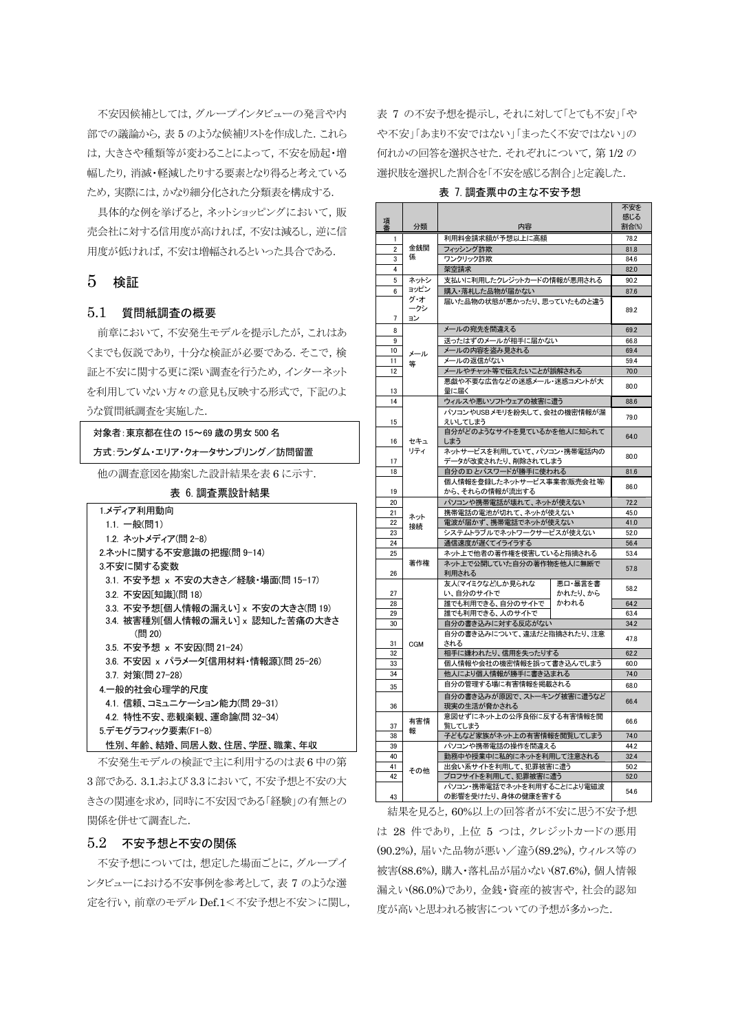不安因候補としては、グループインタビューの発言や内 部での議論から、表5のような候補リストを作成した.これら は、大きさや種類等が変わることによって、不安を励起・増 幅したり, 消滅・軽減したりする要素となり得ると考えている ため、実際には、かなり細分化された分類表を構成する.

具体的な例を挙げると、ネットショッピングにおいて、販 売会社に対する信用度が高ければ、不安は減るし、逆に信 用度が低ければ、不安は増幅されるといった具合である。

# $5$  検証

# 5.1 質問紙調査の概要

前章において、不安発生モデルを提示したが、これはあ くまでも仮説であり, 十分な検証が必要である. そこで, 検 証と不安に関する更に深い調査を行うため、インターネット を利用していない方々の意見も反映する形式で、下記のよ うな質問紙調査を実施した.

対象者: 東京都在住の 15~69 歳の男女 500 名

| 方式:ランダム・エリア・クォータサンプリング/訪問留置         |
|-------------------------------------|
| 他の調査意図を勘案した設計結果を表6に示す.              |
| 表 6. 調査票設計結果                        |
| 1.メディア利用動向                          |
| 1.1. 一般(問1)                         |
| 1.2. ネットメディア(問 2-8)                 |
| 2.ネットに関する不安意識の把握(問 9-14)            |
| 3.不安に関する変数                          |
| 3.1. 不安予想 x 不安の大きさ/経験・場面(問 15-17)   |
| 3.2. 不安因[知識](問 18)                  |
| 3.3. 不安予想[個人情報の漏えい] x 不安の大きさ(問 19)  |
| 3.4. 被害種別[個人情報の漏えい] x 認知した苦痛の大きさ    |
| (問 20)                              |
| 3.5. 不安予想 × 不安因(問 21-24)            |
| 3.6. 不安因 x パラメータ「信用材料・情報源](問 25-26) |
| 3.7. 対策(問 27-28)                    |
| 4.一般的社会心理学的尺度                       |
| 4.1. 信頼、コミュニケーション能力(問 29-31)        |
| 4.2. 特性不安、悲観楽観、運命論(問 32-34)         |
| 5.デモグラフィック要素(F1-8)                  |
| 性別、年齡、結婚、同居人数、住居、学歴、職業、年収           |

不安発生モデルの検証で主に利用するのは表6中の第 3部である. 3.1.および 3.3 において、不安予想と不安の大 きさの関連を求め、同時に不安因である「経験」の有無との 関係を併せて調査した.

### 5.2 不安予想と不安の関係

不安予想については、想定した場面ごとに、グループイ ンタビューにおける不安事例を参考として、表7のような選 定を行い、前章のモデル Def.1<不安予想と不安>に関し、 表 7 の不安予想を提示し、それに対して「とても不安」「や や不安」「あまり不安ではない」「まったく不安ではない」の 何れかの回答を選択させた. それぞれについて, 第1/2の 選択肢を選択した割合を「不安を感じる割合」と定義した.

### 表 7. 調査票中の主な不安予想

|    |                  |                                                   |                    | 不安を  |
|----|------------------|---------------------------------------------------|--------------------|------|
| 項番 | 分類               | 内容                                                | 感じる<br>割合(%)       |      |
| 1  |                  | 利用料金請求額が予想以上に高額                                   | 78.2               |      |
| 2  | 金銭関              | フィッシング詐欺                                          | 81.8               |      |
| 3  | 係                | ワンクリック詐欺                                          | 84.6               |      |
| 4  |                  | 架空請求                                              |                    | 82.0 |
| 5  | ネットシ             | 支払いに利用したクレジットカードの情報が悪用される                         |                    | 90.2 |
| 6  | ョッピン             | 購入・落札した品物が届かない                                    |                    | 87.6 |
| 7  | グ・オ<br>ークシ<br>ゴン | 届いた品物の状態が悪かったり、思っていたものと違う                         |                    | 89.2 |
| 8  |                  | メールの宛先を間違える                                       |                    | 69.2 |
| 9  |                  | 送ったはずのメールが相手に届かない                                 |                    | 66.8 |
| 10 | メール              | メー<br>-ルの内容を盗み見される                                |                    | 69.4 |
| 11 | 等                | メールの返信がない                                         |                    | 59.4 |
| 12 |                  | メールやチャット等で伝えたいことが誤解される                            |                    | 70.0 |
| 13 |                  | 悪戯や不要な広告などの迷惑メール・迷惑コメントが大<br>量に届く                 |                    | 80.0 |
| 14 |                  | ウィルスや悪いソフトウェアの被害に遭う                               |                    | 88.6 |
| 15 |                  | パソコンやUSBメモリを紛失して、会社の機密情報が漏<br>えいしてしまう             |                    | 79.0 |
| 16 | セキュ              | 自分がどのようなサイトを見ているかを他人に知られて<br>しまう                  |                    | 64.0 |
| 17 | リティ              | ネットサービスを利用していて、パソコン・携帯電話内の<br>データが改変されたり、削除されてしまう |                    | 80.0 |
| 18 |                  | 自分のIDとパスワードが勝手に使われる                               |                    | 81.6 |
| 19 |                  | 個人情報を登録したネットサービス事業者(販売会社等)<br>から、それらの情報が流出する      |                    | 86.0 |
| 20 |                  | パソコンや携帯電話が壊れて、ネットが使えない                            |                    | 72.2 |
| 21 | ネット              | 携帯電話の電池が切れて、ネットが使えない                              | 45.0               |      |
| 22 | 接続               | 電波が届かず、携帯電話でネットが使えない                              | 41.0               |      |
| 23 |                  | システムトラブルでネットワークサービスが使えない                          |                    | 52.0 |
| 24 |                  | 通信速度が遅くてイライラする                                    | 56.4               |      |
| 25 |                  | ネット上で他者の著作権を侵害していると指摘される                          |                    | 53.4 |
| 26 | 著作権              | ネット上で公開していた自分の著作物を他人に無断で<br>利用される                 |                    | 57.8 |
| 27 |                  | 友人(マイミクなど)しか見られな<br>い、自分のサイトで                     | 悪口・暴言を書<br>かれたり、から | 58.2 |
| 28 |                  | 誰でも利用できる、自分のサイトで                                  | かわれる               | 64.2 |
| 29 |                  | 誰でも利用できる、人のサイトで                                   |                    | 63.4 |
| 30 |                  | 自分の書き込みに対する反応がない                                  |                    | 34.2 |
| 31 | <b>CGM</b>       | 自分の書き込みについて、違法だと指摘されたり、注意<br>される                  |                    | 47.8 |
| 32 |                  | 相手に嫌われたり、信用を失ったりする                                | 62.2               |      |
| 33 |                  | 個人情報や会社の機密情報を誤って書き込んでしまう                          |                    | 60.0 |
| 34 |                  | 他人により個人情報が勝手に書き込まれる                               |                    | 74.0 |
| 35 |                  | 自分の管理する場に有害情報を掲載される                               | 68.0               |      |
| 36 |                  | 自分の書き込みが原因で、ストーキング被害に遭うなど<br>現実の生活が脅かされる          |                    | 66.4 |
| 37 | 有害情<br>報         | 意図せずにネット上の公序良俗に反する有害情報を閲<br>覧してしまう                | 66.6               |      |
| 38 |                  | 子どもなど家族がネット上の有害情報を閲覧してしまう                         | 74.0               |      |
| 39 |                  | パソコンや携帯雷話の操作を間違える                                 |                    | 44.2 |
| 40 |                  | 勤務中や授業中に私的にネットを利用して注意される                          |                    | 32.4 |
| 41 | その他              | 出会い系サイトを利用して、犯罪被害に遭う                              |                    | 50.2 |
| 42 |                  | プロフサイトを利用して、犯罪被害に遭う                               |                    | 52.0 |
| 43 |                  | パソコン・携帯電話でネットを利用することにより電磁波<br>の影響を受けたり、身体の健康を害する  |                    | 54.6 |

結果を見ると、60%以上の回答者が不安に思う不安予想 は 28 件であり、上位 5 つは、クレジットカードの悪用 (90.2%), 届いた品物が悪い/違う(89.2%), ウィルス等の 被害(88.6%), 購入·落札品が届かない(87.6%), 個人情報 漏えい(86.0%)であり、金銭・資産的被害や、社会的認知 度が高いと思われる被害についての予想が多かった.